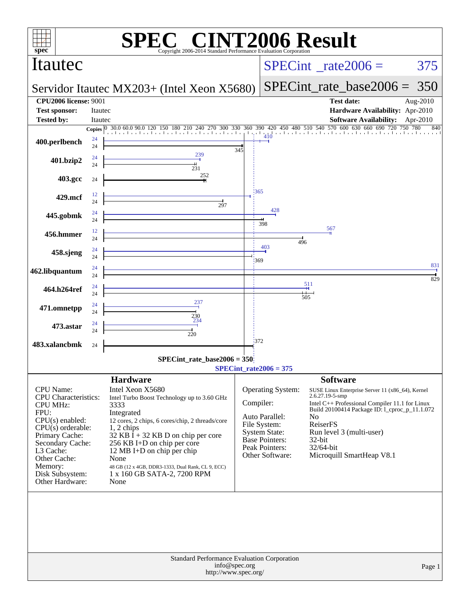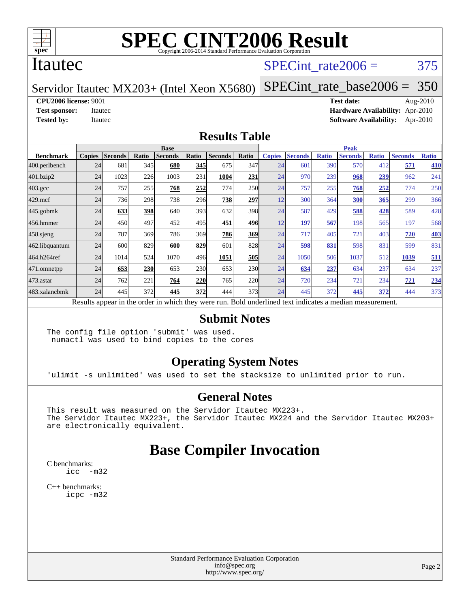

#### Itautec

### SPECint rate $2006 = 375$

Servidor Itautec MX203+ (Intel Xeon X5680)

[SPECint\\_rate\\_base2006 =](http://www.spec.org/auto/cpu2006/Docs/result-fields.html#SPECintratebase2006) 350

**[CPU2006 license:](http://www.spec.org/auto/cpu2006/Docs/result-fields.html#CPU2006license)** 9001 **[Test date:](http://www.spec.org/auto/cpu2006/Docs/result-fields.html#Testdate)** Aug-2010

**[Test sponsor:](http://www.spec.org/auto/cpu2006/Docs/result-fields.html#Testsponsor)** Itautec **[Hardware Availability:](http://www.spec.org/auto/cpu2006/Docs/result-fields.html#HardwareAvailability)** Apr-2010 **[Tested by:](http://www.spec.org/auto/cpu2006/Docs/result-fields.html#Testedby)** Itautec **[Software Availability:](http://www.spec.org/auto/cpu2006/Docs/result-fields.html#SoftwareAvailability)** Apr-2010

#### **[Results Table](http://www.spec.org/auto/cpu2006/Docs/result-fields.html#ResultsTable)**

|                  | <b>Base</b>   |                                                                                                          |       |                |            |                |            | <b>Peak</b>   |                |              |                |              |                |              |
|------------------|---------------|----------------------------------------------------------------------------------------------------------|-------|----------------|------------|----------------|------------|---------------|----------------|--------------|----------------|--------------|----------------|--------------|
| <b>Benchmark</b> | <b>Copies</b> | <b>Seconds</b>                                                                                           | Ratio | <b>Seconds</b> | Ratio      | <b>Seconds</b> | Ratio      | <b>Copies</b> | <b>Seconds</b> | <b>Ratio</b> | <b>Seconds</b> | <b>Ratio</b> | <b>Seconds</b> | <b>Ratio</b> |
| 400.perlbench    | 24            | 681                                                                                                      | 345   | 680            | <b>345</b> | 675            | 347        | 24            | 601            | 390          | 570            | 412          | 571            | 410          |
| 401.bzip2        | 24            | 1023                                                                                                     | 226   | 1003           | 231        | 1004           | 231        | 24            | 970            | 239          | 968            | 239          | 962            | 241          |
| $403.\text{gcc}$ | 24            | 757                                                                                                      | 255   | 768            | 252        | 774            | 250        | 24            | 757            | 255          | 768            | 252          | 774            | 250          |
| $429$ .mcf       | 24            | 736                                                                                                      | 298   | 738            | 296        | 738            | 297        | 12            | 300            | 364          | 300            | 365          | 299            | 366          |
| $445$ .gobmk     | 24            | 633                                                                                                      | 398   | 640            | 393        | 632            | 398        | 24            | 587            | 429          | 588            | 428          | 589            | 428          |
| 456.hmmer        | 24            | 450                                                                                                      | 497   | 452            | 495        | 451            | 496        | 12            | 197            | 567          | 198            | 565          | 197            | 568          |
| $458$ .sjeng     | 24            | 787                                                                                                      | 369   | 786            | 369        | 786            | 369        | 24            | 717            | 405          | 721            | 403          | 720            | <b>403</b>   |
| 462.libquantum   | 24            | 600                                                                                                      | 829   | 600            | 829        | 601            | 828        | 24            | 598            | 831          | 598            | 831          | 599            | 831          |
| 464.h264ref      | 24            | 1014                                                                                                     | 524   | 1070           | 496        | 1051           | 505        | 24            | 1050           | 506          | 1037           | 512          | 1039           | 511          |
| 471.omnetpp      | 24            | 653                                                                                                      | 230   | 653            | 230        | 653            | <b>230</b> | 24            | 634            | 237          | 634            | 237          | 634            | 237          |
| $473$ . astar    | 24            | 762                                                                                                      | 221   | 764            | 220        | 765            | 220        | 24            | 720            | 234          | 721            | 234          | 721            | 234          |
| 483.xalancbmk    | 24            | 445                                                                                                      | 372   | 445            | 372        | 444            | 373I       | 24            | 445            | 372          | 445            | 372          | 444            | 373          |
|                  |               | Results appear in the order in which they were run. Bold underlined text indicates a median measurement. |       |                |            |                |            |               |                |              |                |              |                |              |

#### **[Submit Notes](http://www.spec.org/auto/cpu2006/Docs/result-fields.html#SubmitNotes)**

The config file option 'submit' was used. numactl was used to bind copies to the cores

#### **[Operating System Notes](http://www.spec.org/auto/cpu2006/Docs/result-fields.html#OperatingSystemNotes)**

'ulimit -s unlimited' was used to set the stacksize to unlimited prior to run.

#### **[General Notes](http://www.spec.org/auto/cpu2006/Docs/result-fields.html#GeneralNotes)**

This result was measured on the Servidor Itautec MX223+. The Servidor Itautec MX223+, the Servidor Itautec MX224 and the Servidor Itautec MX203+ are electronically equivalent.

## **[Base Compiler Invocation](http://www.spec.org/auto/cpu2006/Docs/result-fields.html#BaseCompilerInvocation)**

[C benchmarks](http://www.spec.org/auto/cpu2006/Docs/result-fields.html#Cbenchmarks): [icc -m32](http://www.spec.org/cpu2006/results/res2010q3/cpu2006-20100816-12928.flags.html#user_CCbase_intel_icc_32bit_5ff4a39e364c98233615fdd38438c6f2)

[C++ benchmarks:](http://www.spec.org/auto/cpu2006/Docs/result-fields.html#CXXbenchmarks) [icpc -m32](http://www.spec.org/cpu2006/results/res2010q3/cpu2006-20100816-12928.flags.html#user_CXXbase_intel_icpc_32bit_4e5a5ef1a53fd332b3c49e69c3330699)

> Standard Performance Evaluation Corporation [info@spec.org](mailto:info@spec.org) <http://www.spec.org/>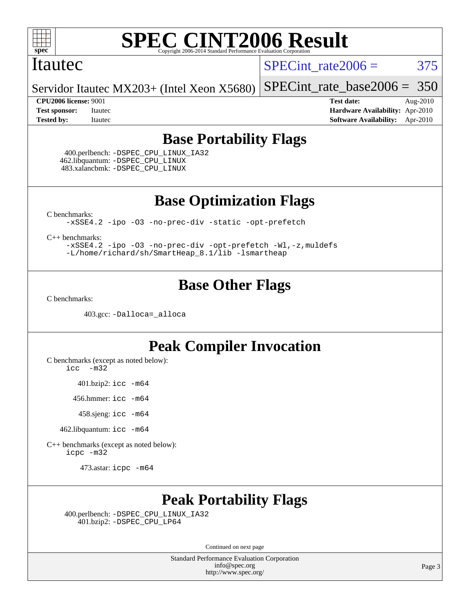

#### Itautec

SPECint rate $2006 = 375$ 

Servidor Itautec MX203+ (Intel Xeon X5680) [SPECint\\_rate\\_base2006 =](http://www.spec.org/auto/cpu2006/Docs/result-fields.html#SPECintratebase2006) 350

**[CPU2006 license:](http://www.spec.org/auto/cpu2006/Docs/result-fields.html#CPU2006license)** 9001 **[Test date:](http://www.spec.org/auto/cpu2006/Docs/result-fields.html#Testdate)** Aug-2010 **[Test sponsor:](http://www.spec.org/auto/cpu2006/Docs/result-fields.html#Testsponsor)** Itautec **[Hardware Availability:](http://www.spec.org/auto/cpu2006/Docs/result-fields.html#HardwareAvailability)** Apr-2010 **[Tested by:](http://www.spec.org/auto/cpu2006/Docs/result-fields.html#Testedby)** Itautec **[Software Availability:](http://www.spec.org/auto/cpu2006/Docs/result-fields.html#SoftwareAvailability)** Apr-2010

## **[Base Portability Flags](http://www.spec.org/auto/cpu2006/Docs/result-fields.html#BasePortabilityFlags)**

 400.perlbench: [-DSPEC\\_CPU\\_LINUX\\_IA32](http://www.spec.org/cpu2006/results/res2010q3/cpu2006-20100816-12928.flags.html#b400.perlbench_baseCPORTABILITY_DSPEC_CPU_LINUX_IA32) 462.libquantum: [-DSPEC\\_CPU\\_LINUX](http://www.spec.org/cpu2006/results/res2010q3/cpu2006-20100816-12928.flags.html#b462.libquantum_baseCPORTABILITY_DSPEC_CPU_LINUX) 483.xalancbmk: [-DSPEC\\_CPU\\_LINUX](http://www.spec.org/cpu2006/results/res2010q3/cpu2006-20100816-12928.flags.html#b483.xalancbmk_baseCXXPORTABILITY_DSPEC_CPU_LINUX)

**[Base Optimization Flags](http://www.spec.org/auto/cpu2006/Docs/result-fields.html#BaseOptimizationFlags)**

[C benchmarks](http://www.spec.org/auto/cpu2006/Docs/result-fields.html#Cbenchmarks):

[-xSSE4.2](http://www.spec.org/cpu2006/results/res2010q3/cpu2006-20100816-12928.flags.html#user_CCbase_f-xSSE42_f91528193cf0b216347adb8b939d4107) [-ipo](http://www.spec.org/cpu2006/results/res2010q3/cpu2006-20100816-12928.flags.html#user_CCbase_f-ipo) [-O3](http://www.spec.org/cpu2006/results/res2010q3/cpu2006-20100816-12928.flags.html#user_CCbase_f-O3) [-no-prec-div](http://www.spec.org/cpu2006/results/res2010q3/cpu2006-20100816-12928.flags.html#user_CCbase_f-no-prec-div) [-static](http://www.spec.org/cpu2006/results/res2010q3/cpu2006-20100816-12928.flags.html#user_CCbase_f-static) [-opt-prefetch](http://www.spec.org/cpu2006/results/res2010q3/cpu2006-20100816-12928.flags.html#user_CCbase_f-opt-prefetch)

[C++ benchmarks:](http://www.spec.org/auto/cpu2006/Docs/result-fields.html#CXXbenchmarks)

[-xSSE4.2](http://www.spec.org/cpu2006/results/res2010q3/cpu2006-20100816-12928.flags.html#user_CXXbase_f-xSSE42_f91528193cf0b216347adb8b939d4107) [-ipo](http://www.spec.org/cpu2006/results/res2010q3/cpu2006-20100816-12928.flags.html#user_CXXbase_f-ipo) [-O3](http://www.spec.org/cpu2006/results/res2010q3/cpu2006-20100816-12928.flags.html#user_CXXbase_f-O3) [-no-prec-div](http://www.spec.org/cpu2006/results/res2010q3/cpu2006-20100816-12928.flags.html#user_CXXbase_f-no-prec-div) [-opt-prefetch](http://www.spec.org/cpu2006/results/res2010q3/cpu2006-20100816-12928.flags.html#user_CXXbase_f-opt-prefetch) [-Wl,-z,muldefs](http://www.spec.org/cpu2006/results/res2010q3/cpu2006-20100816-12928.flags.html#user_CXXbase_link_force_multiple1_74079c344b956b9658436fd1b6dd3a8a) [-L/home/richard/sh/SmartHeap\\_8.1/lib -lsmartheap](http://www.spec.org/cpu2006/results/res2010q3/cpu2006-20100816-12928.flags.html#user_CXXbase_SmartHeap_ca89174614665f48817f3d388ddc383c)

## **[Base Other Flags](http://www.spec.org/auto/cpu2006/Docs/result-fields.html#BaseOtherFlags)**

[C benchmarks](http://www.spec.org/auto/cpu2006/Docs/result-fields.html#Cbenchmarks):

403.gcc: [-Dalloca=\\_alloca](http://www.spec.org/cpu2006/results/res2010q3/cpu2006-20100816-12928.flags.html#b403.gcc_baseEXTRA_CFLAGS_Dalloca_be3056838c12de2578596ca5467af7f3)

## **[Peak Compiler Invocation](http://www.spec.org/auto/cpu2006/Docs/result-fields.html#PeakCompilerInvocation)**

[C benchmarks \(except as noted below\)](http://www.spec.org/auto/cpu2006/Docs/result-fields.html#Cbenchmarksexceptasnotedbelow):

[icc -m32](http://www.spec.org/cpu2006/results/res2010q3/cpu2006-20100816-12928.flags.html#user_CCpeak_intel_icc_32bit_5ff4a39e364c98233615fdd38438c6f2)

401.bzip2: [icc -m64](http://www.spec.org/cpu2006/results/res2010q3/cpu2006-20100816-12928.flags.html#user_peakCCLD401_bzip2_intel_icc_64bit_bda6cc9af1fdbb0edc3795bac97ada53)

456.hmmer: [icc -m64](http://www.spec.org/cpu2006/results/res2010q3/cpu2006-20100816-12928.flags.html#user_peakCCLD456_hmmer_intel_icc_64bit_bda6cc9af1fdbb0edc3795bac97ada53)

458.sjeng: [icc -m64](http://www.spec.org/cpu2006/results/res2010q3/cpu2006-20100816-12928.flags.html#user_peakCCLD458_sjeng_intel_icc_64bit_bda6cc9af1fdbb0edc3795bac97ada53)

462.libquantum: [icc -m64](http://www.spec.org/cpu2006/results/res2010q3/cpu2006-20100816-12928.flags.html#user_peakCCLD462_libquantum_intel_icc_64bit_bda6cc9af1fdbb0edc3795bac97ada53)

[C++ benchmarks \(except as noted below\):](http://www.spec.org/auto/cpu2006/Docs/result-fields.html#CXXbenchmarksexceptasnotedbelow) [icpc -m32](http://www.spec.org/cpu2006/results/res2010q3/cpu2006-20100816-12928.flags.html#user_CXXpeak_intel_icpc_32bit_4e5a5ef1a53fd332b3c49e69c3330699)

473.astar: [icpc -m64](http://www.spec.org/cpu2006/results/res2010q3/cpu2006-20100816-12928.flags.html#user_peakCXXLD473_astar_intel_icpc_64bit_fc66a5337ce925472a5c54ad6a0de310)

## **[Peak Portability Flags](http://www.spec.org/auto/cpu2006/Docs/result-fields.html#PeakPortabilityFlags)**

 400.perlbench: [-DSPEC\\_CPU\\_LINUX\\_IA32](http://www.spec.org/cpu2006/results/res2010q3/cpu2006-20100816-12928.flags.html#b400.perlbench_peakCPORTABILITY_DSPEC_CPU_LINUX_IA32) 401.bzip2: [-DSPEC\\_CPU\\_LP64](http://www.spec.org/cpu2006/results/res2010q3/cpu2006-20100816-12928.flags.html#suite_peakCPORTABILITY401_bzip2_DSPEC_CPU_LP64)

Continued on next page

Standard Performance Evaluation Corporation [info@spec.org](mailto:info@spec.org) <http://www.spec.org/>

Page 3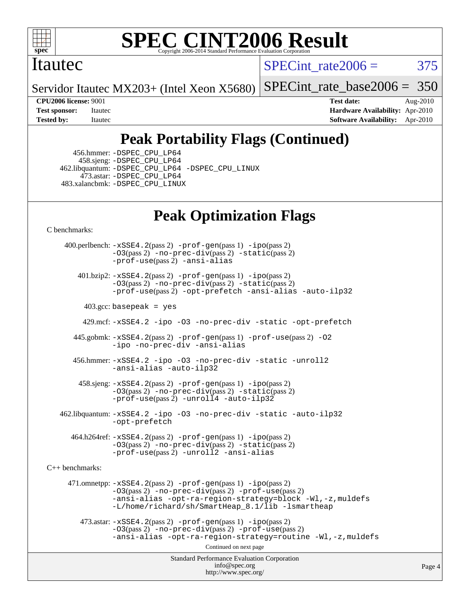

#### Itautec

SPECint rate $2006 = 375$ 

Servidor Itautec MX203+ (Intel Xeon X5680)

[SPECint\\_rate\\_base2006 =](http://www.spec.org/auto/cpu2006/Docs/result-fields.html#SPECintratebase2006) 350

**[CPU2006 license:](http://www.spec.org/auto/cpu2006/Docs/result-fields.html#CPU2006license)** 9001 **[Test date:](http://www.spec.org/auto/cpu2006/Docs/result-fields.html#Testdate)** Aug-2010 **[Test sponsor:](http://www.spec.org/auto/cpu2006/Docs/result-fields.html#Testsponsor)** Itautec **[Hardware Availability:](http://www.spec.org/auto/cpu2006/Docs/result-fields.html#HardwareAvailability)** Apr-2010 **[Tested by:](http://www.spec.org/auto/cpu2006/Docs/result-fields.html#Testedby)** Itautec **[Software Availability:](http://www.spec.org/auto/cpu2006/Docs/result-fields.html#SoftwareAvailability)** Apr-2010

# **[Peak Portability Flags \(Continued\)](http://www.spec.org/auto/cpu2006/Docs/result-fields.html#PeakPortabilityFlags)**

 456.hmmer: [-DSPEC\\_CPU\\_LP64](http://www.spec.org/cpu2006/results/res2010q3/cpu2006-20100816-12928.flags.html#suite_peakCPORTABILITY456_hmmer_DSPEC_CPU_LP64) 458.sjeng: [-DSPEC\\_CPU\\_LP64](http://www.spec.org/cpu2006/results/res2010q3/cpu2006-20100816-12928.flags.html#suite_peakCPORTABILITY458_sjeng_DSPEC_CPU_LP64) 462.libquantum: [-DSPEC\\_CPU\\_LP64](http://www.spec.org/cpu2006/results/res2010q3/cpu2006-20100816-12928.flags.html#suite_peakCPORTABILITY462_libquantum_DSPEC_CPU_LP64) [-DSPEC\\_CPU\\_LINUX](http://www.spec.org/cpu2006/results/res2010q3/cpu2006-20100816-12928.flags.html#b462.libquantum_peakCPORTABILITY_DSPEC_CPU_LINUX) 473.astar: [-DSPEC\\_CPU\\_LP64](http://www.spec.org/cpu2006/results/res2010q3/cpu2006-20100816-12928.flags.html#suite_peakCXXPORTABILITY473_astar_DSPEC_CPU_LP64) 483.xalancbmk: [-DSPEC\\_CPU\\_LINUX](http://www.spec.org/cpu2006/results/res2010q3/cpu2006-20100816-12928.flags.html#b483.xalancbmk_peakCXXPORTABILITY_DSPEC_CPU_LINUX)

# **[Peak Optimization Flags](http://www.spec.org/auto/cpu2006/Docs/result-fields.html#PeakOptimizationFlags)**

[C benchmarks](http://www.spec.org/auto/cpu2006/Docs/result-fields.html#Cbenchmarks):

Standard Performance Evaluation Corporation [info@spec.org](mailto:info@spec.org) <http://www.spec.org/> Page 4 400.perlbench: [-xSSE4.2](http://www.spec.org/cpu2006/results/res2010q3/cpu2006-20100816-12928.flags.html#user_peakPASS2_CFLAGSPASS2_LDCFLAGS400_perlbench_f-xSSE42_f91528193cf0b216347adb8b939d4107)(pass 2) [-prof-gen](http://www.spec.org/cpu2006/results/res2010q3/cpu2006-20100816-12928.flags.html#user_peakPASS1_CFLAGSPASS1_LDCFLAGS400_perlbench_prof_gen_e43856698f6ca7b7e442dfd80e94a8fc)(pass 1) [-ipo](http://www.spec.org/cpu2006/results/res2010q3/cpu2006-20100816-12928.flags.html#user_peakPASS2_CFLAGSPASS2_LDCFLAGS400_perlbench_f-ipo)(pass 2) [-O3](http://www.spec.org/cpu2006/results/res2010q3/cpu2006-20100816-12928.flags.html#user_peakPASS2_CFLAGSPASS2_LDCFLAGS400_perlbench_f-O3)(pass 2) [-no-prec-div](http://www.spec.org/cpu2006/results/res2010q3/cpu2006-20100816-12928.flags.html#user_peakPASS2_CFLAGSPASS2_LDCFLAGS400_perlbench_f-no-prec-div)(pass 2) [-static](http://www.spec.org/cpu2006/results/res2010q3/cpu2006-20100816-12928.flags.html#user_peakPASS2_CFLAGSPASS2_LDCFLAGS400_perlbench_f-static)(pass 2) [-prof-use](http://www.spec.org/cpu2006/results/res2010q3/cpu2006-20100816-12928.flags.html#user_peakPASS2_CFLAGSPASS2_LDCFLAGS400_perlbench_prof_use_bccf7792157ff70d64e32fe3e1250b55)(pass 2) [-ansi-alias](http://www.spec.org/cpu2006/results/res2010q3/cpu2006-20100816-12928.flags.html#user_peakCOPTIMIZE400_perlbench_f-ansi-alias) 401.bzip2: [-xSSE4.2](http://www.spec.org/cpu2006/results/res2010q3/cpu2006-20100816-12928.flags.html#user_peakPASS2_CFLAGSPASS2_LDCFLAGS401_bzip2_f-xSSE42_f91528193cf0b216347adb8b939d4107)(pass 2) [-prof-gen](http://www.spec.org/cpu2006/results/res2010q3/cpu2006-20100816-12928.flags.html#user_peakPASS1_CFLAGSPASS1_LDCFLAGS401_bzip2_prof_gen_e43856698f6ca7b7e442dfd80e94a8fc)(pass 1) [-ipo](http://www.spec.org/cpu2006/results/res2010q3/cpu2006-20100816-12928.flags.html#user_peakPASS2_CFLAGSPASS2_LDCFLAGS401_bzip2_f-ipo)(pass 2) [-O3](http://www.spec.org/cpu2006/results/res2010q3/cpu2006-20100816-12928.flags.html#user_peakPASS2_CFLAGSPASS2_LDCFLAGS401_bzip2_f-O3)(pass 2) [-no-prec-div](http://www.spec.org/cpu2006/results/res2010q3/cpu2006-20100816-12928.flags.html#user_peakPASS2_CFLAGSPASS2_LDCFLAGS401_bzip2_f-no-prec-div)(pass 2) [-static](http://www.spec.org/cpu2006/results/res2010q3/cpu2006-20100816-12928.flags.html#user_peakPASS2_CFLAGSPASS2_LDCFLAGS401_bzip2_f-static)(pass 2) [-prof-use](http://www.spec.org/cpu2006/results/res2010q3/cpu2006-20100816-12928.flags.html#user_peakPASS2_CFLAGSPASS2_LDCFLAGS401_bzip2_prof_use_bccf7792157ff70d64e32fe3e1250b55)(pass 2) [-opt-prefetch](http://www.spec.org/cpu2006/results/res2010q3/cpu2006-20100816-12928.flags.html#user_peakCOPTIMIZE401_bzip2_f-opt-prefetch) [-ansi-alias](http://www.spec.org/cpu2006/results/res2010q3/cpu2006-20100816-12928.flags.html#user_peakCOPTIMIZE401_bzip2_f-ansi-alias) [-auto-ilp32](http://www.spec.org/cpu2006/results/res2010q3/cpu2006-20100816-12928.flags.html#user_peakCOPTIMIZE401_bzip2_f-auto-ilp32)  $403.\text{gcc: basepeak}$  = yes 429.mcf: [-xSSE4.2](http://www.spec.org/cpu2006/results/res2010q3/cpu2006-20100816-12928.flags.html#user_peakCOPTIMIZE429_mcf_f-xSSE42_f91528193cf0b216347adb8b939d4107) [-ipo](http://www.spec.org/cpu2006/results/res2010q3/cpu2006-20100816-12928.flags.html#user_peakCOPTIMIZE429_mcf_f-ipo) [-O3](http://www.spec.org/cpu2006/results/res2010q3/cpu2006-20100816-12928.flags.html#user_peakCOPTIMIZE429_mcf_f-O3) [-no-prec-div](http://www.spec.org/cpu2006/results/res2010q3/cpu2006-20100816-12928.flags.html#user_peakCOPTIMIZE429_mcf_f-no-prec-div) [-static](http://www.spec.org/cpu2006/results/res2010q3/cpu2006-20100816-12928.flags.html#user_peakCOPTIMIZE429_mcf_f-static) [-opt-prefetch](http://www.spec.org/cpu2006/results/res2010q3/cpu2006-20100816-12928.flags.html#user_peakCOPTIMIZE429_mcf_f-opt-prefetch) 445.gobmk: [-xSSE4.2](http://www.spec.org/cpu2006/results/res2010q3/cpu2006-20100816-12928.flags.html#user_peakPASS2_CFLAGSPASS2_LDCFLAGS445_gobmk_f-xSSE42_f91528193cf0b216347adb8b939d4107)(pass 2) [-prof-gen](http://www.spec.org/cpu2006/results/res2010q3/cpu2006-20100816-12928.flags.html#user_peakPASS1_CFLAGSPASS1_LDCFLAGS445_gobmk_prof_gen_e43856698f6ca7b7e442dfd80e94a8fc)(pass 1) [-prof-use](http://www.spec.org/cpu2006/results/res2010q3/cpu2006-20100816-12928.flags.html#user_peakPASS2_CFLAGSPASS2_LDCFLAGS445_gobmk_prof_use_bccf7792157ff70d64e32fe3e1250b55)(pass 2) [-O2](http://www.spec.org/cpu2006/results/res2010q3/cpu2006-20100816-12928.flags.html#user_peakCOPTIMIZE445_gobmk_f-O2) [-ipo](http://www.spec.org/cpu2006/results/res2010q3/cpu2006-20100816-12928.flags.html#user_peakCOPTIMIZE445_gobmk_f-ipo) [-no-prec-div](http://www.spec.org/cpu2006/results/res2010q3/cpu2006-20100816-12928.flags.html#user_peakCOPTIMIZE445_gobmk_f-no-prec-div) [-ansi-alias](http://www.spec.org/cpu2006/results/res2010q3/cpu2006-20100816-12928.flags.html#user_peakCOPTIMIZE445_gobmk_f-ansi-alias) 456.hmmer: [-xSSE4.2](http://www.spec.org/cpu2006/results/res2010q3/cpu2006-20100816-12928.flags.html#user_peakCOPTIMIZE456_hmmer_f-xSSE42_f91528193cf0b216347adb8b939d4107) [-ipo](http://www.spec.org/cpu2006/results/res2010q3/cpu2006-20100816-12928.flags.html#user_peakCOPTIMIZE456_hmmer_f-ipo) [-O3](http://www.spec.org/cpu2006/results/res2010q3/cpu2006-20100816-12928.flags.html#user_peakCOPTIMIZE456_hmmer_f-O3) [-no-prec-div](http://www.spec.org/cpu2006/results/res2010q3/cpu2006-20100816-12928.flags.html#user_peakCOPTIMIZE456_hmmer_f-no-prec-div) [-static](http://www.spec.org/cpu2006/results/res2010q3/cpu2006-20100816-12928.flags.html#user_peakCOPTIMIZE456_hmmer_f-static) [-unroll2](http://www.spec.org/cpu2006/results/res2010q3/cpu2006-20100816-12928.flags.html#user_peakCOPTIMIZE456_hmmer_f-unroll_784dae83bebfb236979b41d2422d7ec2) [-ansi-alias](http://www.spec.org/cpu2006/results/res2010q3/cpu2006-20100816-12928.flags.html#user_peakCOPTIMIZE456_hmmer_f-ansi-alias) [-auto-ilp32](http://www.spec.org/cpu2006/results/res2010q3/cpu2006-20100816-12928.flags.html#user_peakCOPTIMIZE456_hmmer_f-auto-ilp32) 458.sjeng: [-xSSE4.2](http://www.spec.org/cpu2006/results/res2010q3/cpu2006-20100816-12928.flags.html#user_peakPASS2_CFLAGSPASS2_LDCFLAGS458_sjeng_f-xSSE42_f91528193cf0b216347adb8b939d4107)(pass 2) [-prof-gen](http://www.spec.org/cpu2006/results/res2010q3/cpu2006-20100816-12928.flags.html#user_peakPASS1_CFLAGSPASS1_LDCFLAGS458_sjeng_prof_gen_e43856698f6ca7b7e442dfd80e94a8fc)(pass 1) [-ipo](http://www.spec.org/cpu2006/results/res2010q3/cpu2006-20100816-12928.flags.html#user_peakPASS2_CFLAGSPASS2_LDCFLAGS458_sjeng_f-ipo)(pass 2) [-O3](http://www.spec.org/cpu2006/results/res2010q3/cpu2006-20100816-12928.flags.html#user_peakPASS2_CFLAGSPASS2_LDCFLAGS458_sjeng_f-O3)(pass 2) [-no-prec-div](http://www.spec.org/cpu2006/results/res2010q3/cpu2006-20100816-12928.flags.html#user_peakPASS2_CFLAGSPASS2_LDCFLAGS458_sjeng_f-no-prec-div)(pass 2) [-static](http://www.spec.org/cpu2006/results/res2010q3/cpu2006-20100816-12928.flags.html#user_peakPASS2_CFLAGSPASS2_LDCFLAGS458_sjeng_f-static)(pass 2) [-prof-use](http://www.spec.org/cpu2006/results/res2010q3/cpu2006-20100816-12928.flags.html#user_peakPASS2_CFLAGSPASS2_LDCFLAGS458_sjeng_prof_use_bccf7792157ff70d64e32fe3e1250b55)(pass 2) [-unroll4](http://www.spec.org/cpu2006/results/res2010q3/cpu2006-20100816-12928.flags.html#user_peakCOPTIMIZE458_sjeng_f-unroll_4e5e4ed65b7fd20bdcd365bec371b81f) [-auto-ilp32](http://www.spec.org/cpu2006/results/res2010q3/cpu2006-20100816-12928.flags.html#user_peakCOPTIMIZE458_sjeng_f-auto-ilp32) 462.libquantum: [-xSSE4.2](http://www.spec.org/cpu2006/results/res2010q3/cpu2006-20100816-12928.flags.html#user_peakCOPTIMIZE462_libquantum_f-xSSE42_f91528193cf0b216347adb8b939d4107) [-ipo](http://www.spec.org/cpu2006/results/res2010q3/cpu2006-20100816-12928.flags.html#user_peakCOPTIMIZE462_libquantum_f-ipo) [-O3](http://www.spec.org/cpu2006/results/res2010q3/cpu2006-20100816-12928.flags.html#user_peakCOPTIMIZE462_libquantum_f-O3) [-no-prec-div](http://www.spec.org/cpu2006/results/res2010q3/cpu2006-20100816-12928.flags.html#user_peakCOPTIMIZE462_libquantum_f-no-prec-div) [-static](http://www.spec.org/cpu2006/results/res2010q3/cpu2006-20100816-12928.flags.html#user_peakCOPTIMIZE462_libquantum_f-static) [-auto-ilp32](http://www.spec.org/cpu2006/results/res2010q3/cpu2006-20100816-12928.flags.html#user_peakCOPTIMIZE462_libquantum_f-auto-ilp32) [-opt-prefetch](http://www.spec.org/cpu2006/results/res2010q3/cpu2006-20100816-12928.flags.html#user_peakCOPTIMIZE462_libquantum_f-opt-prefetch) 464.h264ref: [-xSSE4.2](http://www.spec.org/cpu2006/results/res2010q3/cpu2006-20100816-12928.flags.html#user_peakPASS2_CFLAGSPASS2_LDCFLAGS464_h264ref_f-xSSE42_f91528193cf0b216347adb8b939d4107)(pass 2) [-prof-gen](http://www.spec.org/cpu2006/results/res2010q3/cpu2006-20100816-12928.flags.html#user_peakPASS1_CFLAGSPASS1_LDCFLAGS464_h264ref_prof_gen_e43856698f6ca7b7e442dfd80e94a8fc)(pass 1) [-ipo](http://www.spec.org/cpu2006/results/res2010q3/cpu2006-20100816-12928.flags.html#user_peakPASS2_CFLAGSPASS2_LDCFLAGS464_h264ref_f-ipo)(pass 2) [-O3](http://www.spec.org/cpu2006/results/res2010q3/cpu2006-20100816-12928.flags.html#user_peakPASS2_CFLAGSPASS2_LDCFLAGS464_h264ref_f-O3)(pass 2) [-no-prec-div](http://www.spec.org/cpu2006/results/res2010q3/cpu2006-20100816-12928.flags.html#user_peakPASS2_CFLAGSPASS2_LDCFLAGS464_h264ref_f-no-prec-div)(pass 2) [-static](http://www.spec.org/cpu2006/results/res2010q3/cpu2006-20100816-12928.flags.html#user_peakPASS2_CFLAGSPASS2_LDCFLAGS464_h264ref_f-static)(pass 2) [-prof-use](http://www.spec.org/cpu2006/results/res2010q3/cpu2006-20100816-12928.flags.html#user_peakPASS2_CFLAGSPASS2_LDCFLAGS464_h264ref_prof_use_bccf7792157ff70d64e32fe3e1250b55)(pass 2) [-unroll2](http://www.spec.org/cpu2006/results/res2010q3/cpu2006-20100816-12928.flags.html#user_peakCOPTIMIZE464_h264ref_f-unroll_784dae83bebfb236979b41d2422d7ec2) [-ansi-alias](http://www.spec.org/cpu2006/results/res2010q3/cpu2006-20100816-12928.flags.html#user_peakCOPTIMIZE464_h264ref_f-ansi-alias) [C++ benchmarks:](http://www.spec.org/auto/cpu2006/Docs/result-fields.html#CXXbenchmarks) 471.omnetpp: [-xSSE4.2](http://www.spec.org/cpu2006/results/res2010q3/cpu2006-20100816-12928.flags.html#user_peakPASS2_CXXFLAGSPASS2_LDCXXFLAGS471_omnetpp_f-xSSE42_f91528193cf0b216347adb8b939d4107)(pass 2) [-prof-gen](http://www.spec.org/cpu2006/results/res2010q3/cpu2006-20100816-12928.flags.html#user_peakPASS1_CXXFLAGSPASS1_LDCXXFLAGS471_omnetpp_prof_gen_e43856698f6ca7b7e442dfd80e94a8fc)(pass 1) [-ipo](http://www.spec.org/cpu2006/results/res2010q3/cpu2006-20100816-12928.flags.html#user_peakPASS2_CXXFLAGSPASS2_LDCXXFLAGS471_omnetpp_f-ipo)(pass 2) [-O3](http://www.spec.org/cpu2006/results/res2010q3/cpu2006-20100816-12928.flags.html#user_peakPASS2_CXXFLAGSPASS2_LDCXXFLAGS471_omnetpp_f-O3)(pass 2) [-no-prec-div](http://www.spec.org/cpu2006/results/res2010q3/cpu2006-20100816-12928.flags.html#user_peakPASS2_CXXFLAGSPASS2_LDCXXFLAGS471_omnetpp_f-no-prec-div)(pass 2) [-prof-use](http://www.spec.org/cpu2006/results/res2010q3/cpu2006-20100816-12928.flags.html#user_peakPASS2_CXXFLAGSPASS2_LDCXXFLAGS471_omnetpp_prof_use_bccf7792157ff70d64e32fe3e1250b55)(pass 2) [-ansi-alias](http://www.spec.org/cpu2006/results/res2010q3/cpu2006-20100816-12928.flags.html#user_peakCXXOPTIMIZE471_omnetpp_f-ansi-alias) [-opt-ra-region-strategy=block](http://www.spec.org/cpu2006/results/res2010q3/cpu2006-20100816-12928.flags.html#user_peakCXXOPTIMIZE471_omnetpp_f-opt-ra-region-strategy-block_a0a37c372d03933b2a18d4af463c1f69) [-Wl,-z,muldefs](http://www.spec.org/cpu2006/results/res2010q3/cpu2006-20100816-12928.flags.html#user_peakEXTRA_LDFLAGS471_omnetpp_link_force_multiple1_74079c344b956b9658436fd1b6dd3a8a) [-L/home/richard/sh/SmartHeap\\_8.1/lib -lsmartheap](http://www.spec.org/cpu2006/results/res2010q3/cpu2006-20100816-12928.flags.html#user_peakEXTRA_LIBS471_omnetpp_SmartHeap_ca89174614665f48817f3d388ddc383c)  $473.\text{astar: } -xSSE4$ .  $2(\text{pass 2})$   $-\text{prof-gen}(\text{pass 1})$   $-i\text{po}(\text{pass 2})$ [-O3](http://www.spec.org/cpu2006/results/res2010q3/cpu2006-20100816-12928.flags.html#user_peakPASS2_CXXFLAGSPASS2_LDCXXFLAGS473_astar_f-O3)(pass 2) [-no-prec-div](http://www.spec.org/cpu2006/results/res2010q3/cpu2006-20100816-12928.flags.html#user_peakPASS2_CXXFLAGSPASS2_LDCXXFLAGS473_astar_f-no-prec-div)(pass 2) [-prof-use](http://www.spec.org/cpu2006/results/res2010q3/cpu2006-20100816-12928.flags.html#user_peakPASS2_CXXFLAGSPASS2_LDCXXFLAGS473_astar_prof_use_bccf7792157ff70d64e32fe3e1250b55)(pass 2) [-ansi-alias](http://www.spec.org/cpu2006/results/res2010q3/cpu2006-20100816-12928.flags.html#user_peakCXXOPTIMIZE473_astar_f-ansi-alias) [-opt-ra-region-strategy=routine](http://www.spec.org/cpu2006/results/res2010q3/cpu2006-20100816-12928.flags.html#user_peakCXXOPTIMIZE473_astar_f-opt-ra-region-strategy-routine_ba086ea3b1d46a52e1238e2ca173ed44) [-Wl,-z,muldefs](http://www.spec.org/cpu2006/results/res2010q3/cpu2006-20100816-12928.flags.html#user_peakEXTRA_LDFLAGS473_astar_link_force_multiple1_74079c344b956b9658436fd1b6dd3a8a) Continued on next page